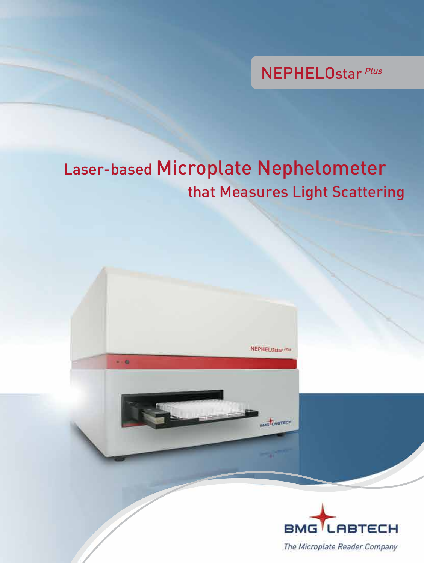NEPHELOstar Plus

# Laser-based Microplate Nephelometer that Measures Light Scattering

 $-0$ 

**NEPHELOstar Plus** 

LABTECH

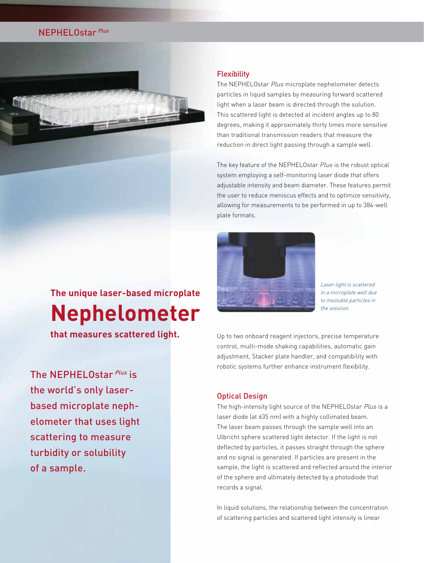# **NEPHELOstar Plus**



# **The unique laser-based microplate Nephelometer**

**that measures scattered light.**

The NEPHELOstar Plus is the world's only laserbased microplate nephelometer that uses light scattering to measure turbidity or solubility of a sample.

# **Flexibility**

The NEPHELOstar Plus microplate nephelometer detects particles in liquid samples by measuring forward scattered light when a laser beam is directed through the solution. This scattered light is detected at incident angles up to 80 degrees, making it approximately thirty times more sensitive than traditional transmission readers that measure the reduction in direct light passing through a sample well.

The key feature of the NEPHELOstar Plus is the robust optical system employing a self-monitoring laser diode that offers adjustable intensity and beam diameter. These features permit the user to reduce meniscus effects and to optimize sensitivity, allowing for measurements to be performed in up to 384-well plate formats.



Laser light is scattered in a microplate well due to insoluble particles in the solution.

Up to two onboard reagent injectors, precise temperature control, multi-mode shaking capabilities, automatic gain adjustment, Stacker plate handler, and compatibility with robotic systems further enhance instrument flexibility.

### Optical Design

The high-intensity light source of the NEPHELOstar Plus is a laser diode (at 635 nm) with a highly collimated beam. The laser beam passes through the sample well into an Ulbricht sphere scattered light detector. If the light is not deflected by particles, it passes straight through the sphere and no signal is generated. If particles are present in the sample, the light is scattered and reflected around the interior of the sphere and ultimately detected by a photodiode that records a signal.

In liquid solutions, the relationship between the concentration of scattering particles and scattered light intensity is linear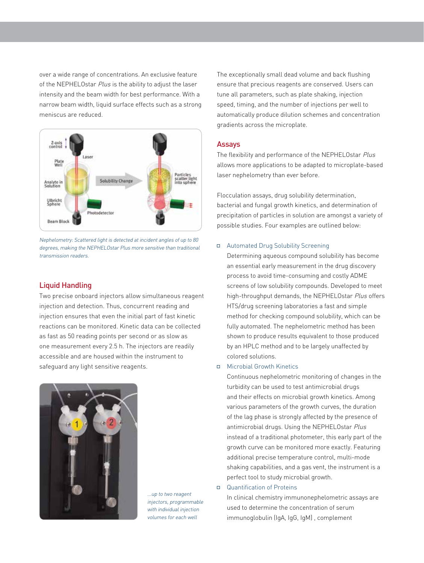over a wide range of concentrations. An exclusive feature of the NEPHELOstar Plus is the ability to adjust the laser intensity and the beam width for best performance. With a narrow beam width, liquid surface effects such as a strong meniscus are reduced.



Nephelometry: Scattered light is detected at incident angles of up to 80 degrees, making the NEPHELOstar Plus more sensitive than traditional transmission readers.

# Liquid Handling

Two precise onboard injectors allow simultaneous reagent injection and detection. Thus, concurrent reading and injection ensures that even the initial part of fast kinetic reactions can be monitored. Kinetic data can be collected as fast as 50 reading points per second or as slow as one measurement every 2.5 h. The injectors are readily accessible and are housed within the instrument to safeguard any light sensitive reagents.



...up to two reagent injectors, programmable with individual injection volumes for each well

The exceptionally small dead volume and back flushing ensure that precious reagents are conserved. Users can tune all parameters, such as plate shaking, injection speed, timing, and the number of injections per well to automatically produce dilution schemes and concentration gradients across the microplate.

### Assays

The flexibility and performance of the NEPHELOstar Plus allows more applications to be adapted to microplate-based laser nephelometry than ever before.

Flocculation assays, drug solubility determination, bacterial and fungal growth kinetics, and determination of precipitation of particles in solution are amongst a variety of possible studies. Four examples are outlined below:

#### Automated Drug Solubility Screening

 Determining aqueous compound solubility has become an essential early measurement in the drug discovery process to avoid time-consuming and costly ADME screens of low solubility compounds. Developed to meet high-throughput demands, the NEPHELOstar Plus offers HTS/drug screening laboratories a fast and simple method for checking compound solubility, which can be fully automated. The nephelometric method has been shown to produce results equivalent to those produced by an HPLC method and to be largely unaffected by colored solutions.

#### □ Microbial Growth Kinetics

 Continuous nephelometric monitoring of changes in the turbidity can be used to test antimicrobial drugs and their effects on microbial growth kinetics. Among various parameters of the growth curves, the duration of the lag phase is strongly affected by the presence of antimicrobial drugs. Using the NEPHELOstar Plus instead of a traditional photometer, this early part of the growth curve can be monitored more exactly. Featuring additional precise temperature control, multi-mode shaking capabilities, and a gas vent, the instrument is a perfect tool to study microbial growth.

#### Quantification of Proteins

 In clinical chemistry immunonephelometric assays are used to determine the concentration of serum immunoglobulin (IgA, IgG, IgM) , complement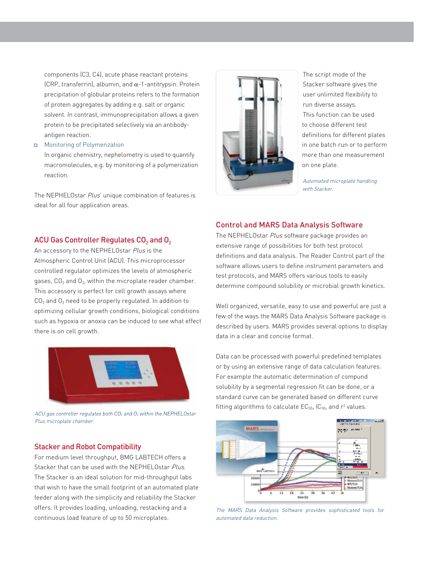components (C3, C4), acute phase reactant proteins (CRP, transferrin), albumin, and  $\alpha$ -1-antitrypsin. Protein precipitation of globular proteins refers to the formation of protein aggregates by adding e.g. salt or organic solvent. In contrast, immunoprecipitation allows a given protein to be precipitated selectively via an antibody antigen reaction.

Monitoring of Polymerization

 In organic chemistry, nephelometry is used to quantify macromolecules, e.g. by monitoring of a polymerization reaction.

The NEPHELOstar Plus' unique combination of features is ideal for all four application areas.



The script mode of the Stacker software gives the user unlimited flexibility to run diverse assays. This function can be used to choose different test definitions for different plates in one batch run or to perform more than one measurement on one plate.

Automated microplate handling with Stacker.

# Control and MARS Data Analysis Software

ACU Gas Controller Regulates  $CO<sub>2</sub>$  and  $O<sub>2</sub>$ 

An accessory to the NEPHELOstar Plus is the Atmospheric Control Unit (ACU). This microprocessor controlled regulator optimizes the levels of atmospheric gases,  $CO<sub>2</sub>$  and  $O<sub>2</sub>$ , within the microplate reader chamber. This accessory is perfect for cell growth assays where  $CO<sub>2</sub>$  and  $O<sub>2</sub>$  need to be properly regulated. In addition to optimizing cellular growth conditions, biological conditions such as hypoxia or anoxia can be induced to see what effect there is on cell growth.



ACU gas controller regulates both CO<sub>2</sub> and O<sub>2</sub> within the NEPHELOstar Plus microplate chamber.

## Stacker and Robot Compatibility

For medium level throughput, BMG LABTECH offers a Stacker that can be used with the NEPHELOstar Plus. The Stacker is an ideal solution for mid-throughput labs that wish to have the small footprint of an automated plate feeder along with the simplicity and reliability the Stacker offers. It provides loading, unloading, restacking and a continuous load feature of up to 50 microplates.

The NEPHELOstar Plus software package provides an extensive range of possibilities for both test protocol definitions and data analysis. The Reader Control part of the software allows users to define instrument parameters and test protocols, and MARS offers various tools to easily determine compound solubility or microbial growth kinetics.

Well organized, versatile, easy to use and powerful are just a few of the ways the MARS Data Analysis Software package is described by users. MARS provides several options to display data in a clear and concise format.

Data can be processed with powerful predefined templates or by using an extensive range of data calculation features. For example the automatic determination of compund solubility by a segmental regression fit can be done, or a standard curve can be generated based on different curve fitting algorithms to calculate  $EC_{50}$ ,  $IC_{50}$ , and  $r^2$  values.



The MARS Data Analysis Software provides sophisticated tools for automated data reduction.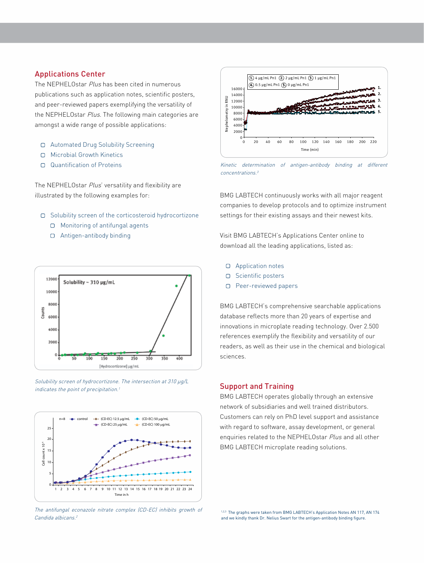# Applications Center

The NEPHELOstar Plus has been cited in numerous publications such as application notes, scientific posters, and peer-reviewed papers exemplifying the versatility of the NEPHELOstar Plus. The following main categories are amongst a wide range of possible applications:

- Automated Drug Solubility Screening
- D Microbial Growth Kinetics
- Quantification of Proteins

The NEPHELOstar Plus' versatility and flexibility are illustrated by the following examples for:

- Solubility screen of the corticosteroid hydrocortizone
	- □ Monitoring of antifungal agents
	- Antigen-antibody binding







The antifungal econazole nitrate complex (CD-EC) inhibits growth of Candida albicans.<sup>2</sup>



Kinetic determination of antigen-antibody binding at different concentrations.<sup>3</sup>

BMG LABTECH continuously works with all major reagent companies to develop protocols and to optimize instrument settings for their existing assays and their newest kits.

Visit BMG LABTECH's Applications Center online to download all the leading applications, listed as:

- Application notes
- O Scientific posters
- Peer-reviewed papers

BMG LABTECH's comprehensive searchable applications database reflects more than 20 years of expertise and innovations in microplate reading technology. Over 2.500 references exemplify the flexibility and versatility of our readers, as well as their use in the chemical and biological sciences.

### Support and Training

BMG LABTECH operates globally through an extensive network of subsidiaries and well trained distributors. Customers can rely on PhD level support and assistance with regard to software, assay development, or general enquiries related to the NEPHELOstar Plus and all other BMG LABTECH microplate reading solutions.

1,2,3 The graphs were taken from BMG LABTECH's Application Notes AN 117, AN 174 and we kindly thank Dr. Nelius Swart for the antigen-antibody binding figure.